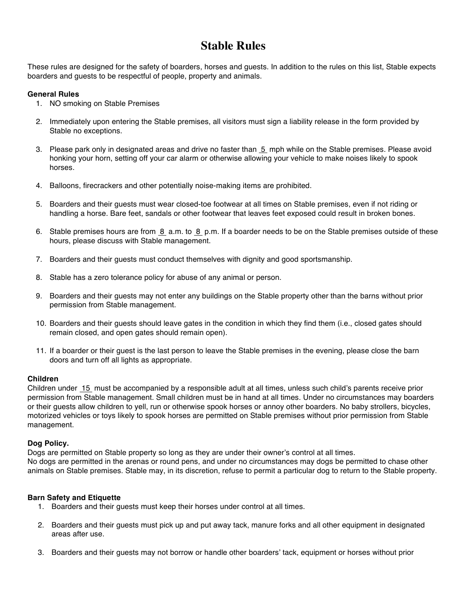# **Stable Rules**

These rules are designed for the safety of boarders, horses and guests. In addition to the rules on this list, Stable expects boarders and guests to be respectful of people, property and animals.

# **General Rules**

- 1. NO smoking on Stable Premises
- 2. Immediately upon entering the Stable premises, all visitors must sign a liability release in the form provided by Stable no exceptions.
- 3. Please park only in designated areas and drive no faster than 5 mph while on the Stable premises. Please avoid honking your horn, setting off your car alarm or otherwise allowing your vehicle to make noises likely to spook horses.
- 4. Balloons, firecrackers and other potentially noise-making items are prohibited.
- 5. Boarders and their guests must wear closed-toe footwear at all times on Stable premises, even if not riding or handling a horse. Bare feet, sandals or other footwear that leaves feet exposed could result in broken bones.
- 6. Stable premises hours are from 8 a.m. to 8 p.m. If a boarder needs to be on the Stable premises outside of these hours, please discuss with Stable management.
- 7. Boarders and their guests must conduct themselves with dignity and good sportsmanship.
- 8. Stable has a zero tolerance policy for abuse of any animal or person.
- 9. Boarders and their guests may not enter any buildings on the Stable property other than the barns without prior permission from Stable management.
- 10. Boarders and their guests should leave gates in the condition in which they find them (i.e., closed gates should remain closed, and open gates should remain open).
- 11. If a boarder or their guest is the last person to leave the Stable premises in the evening, please close the barn doors and turn off all lights as appropriate.

# **Children**

Children under 15 must be accompanied by a responsible adult at all times, unless such child's parents receive prior permission from Stable management. Small children must be in hand at all times. Under no circumstances may boarders or their guests allow children to yell, run or otherwise spook horses or annoy other boarders. No baby strollers, bicycles, motorized vehicles or toys likely to spook horses are permitted on Stable premises without prior permission from Stable management.

# **Dog Policy.**

Dogs are permitted on Stable property so long as they are under their owner's control at all times. No dogs are permitted in the arenas or round pens, and under no circumstances may dogs be permitted to chase other animals on Stable premises. Stable may, in its discretion, refuse to permit a particular dog to return to the Stable property.

# **Barn Safety and Etiquette**

- 1. Boarders and their guests must keep their horses under control at all times.
- 2. Boarders and their guests must pick up and put away tack, manure forks and all other equipment in designated areas after use.
- 3. Boarders and their guests may not borrow or handle other boarders' tack, equipment or horses without prior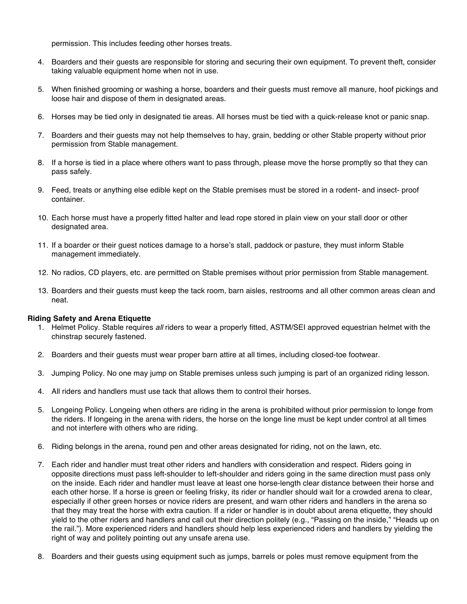permission. This includes feeding other horses treats.

- 4. Boarders and their guests are responsible for storing and securing their own equipment. To prevent theft, consider taking valuable equipment home when not in use.
- 5. When finished grooming or washing a horse, boarders and their guests must remove all manure, hoof pickings and loose hair and dispose of them in designated areas.
- 6. Horses may be tied only in designated tie areas. All horses must be tied with a quick-release knot or panic snap.
- 7. Boarders and their guests may not help themselves to hay, grain, bedding or other Stable property without prior permission from Stable management.
- 8. If a horse is tied in a place where others want to pass through, please move the horse promptly so that they can pass safely.
- 9. Feed, treats or anything else edible kept on the Stable premises must be stored in a rodent- and insect- proof container.
- 10. Each horse must have a properly fitted halter and lead rope stored in plain view on your stall door or other designated area.
- 11. If a boarder or their guest notices damage to a horse's stall, paddock or pasture, they must inform Stable management immediately.
- 12. No radios, CD players, etc. are permitted on Stable premises without prior permission from Stable management.
- 13. Boarders and their guests must keep the tack room, barn aisles, restrooms and all other common areas clean and neat.

#### **Riding Safety and Arena Etiquette**

- 1. Helmet Policy. Stable requires *all* riders to wear a properly fitted, ASTM/SEI approved equestrian helmet with the chinstrap securely fastened.
- 2. Boarders and their guests must wear proper barn attire at all times, including closed-toe footwear.
- 3. Jumping Policy. No one may jump on Stable premises unless such jumping is part of an organized riding lesson.
- 4. All riders and handlers must use tack that allows them to control their horses.
- 5. Longeing Policy. Longeing when others are riding in the arena is prohibited without prior permission to longe from the riders. If longeing in the arena with riders, the horse on the longe line must be kept under control at all times and not interfere with others who are riding.
- 6. Riding belongs in the arena, round pen and other areas designated for riding, not on the lawn, etc.
- 7. Each rider and handler must treat other riders and handlers with consideration and respect. Riders going in opposite directions must pass left-shoulder to left-shoulder and riders going in the same direction must pass only on the inside. Each rider and handler must leave at least one horse-length clear distance between their horse and each other horse. If a horse is green or feeling frisky, its rider or handler should wait for a crowded arena to clear, especially if other green horses or novice riders are present, and warn other riders and handlers in the arena so that they may treat the horse with extra caution. If a rider or handler is in doubt about arena etiquette, they should yield to the other riders and handlers and call out their direction politely (e.g., "Passing on the inside," "Heads up on the rail."). More experienced riders and handlers should help less experienced riders and handlers by yielding the right of way and politely pointing out any unsafe arena use.
- 8. Boarders and their guests using equipment such as jumps, barrels or poles must remove equipment from the